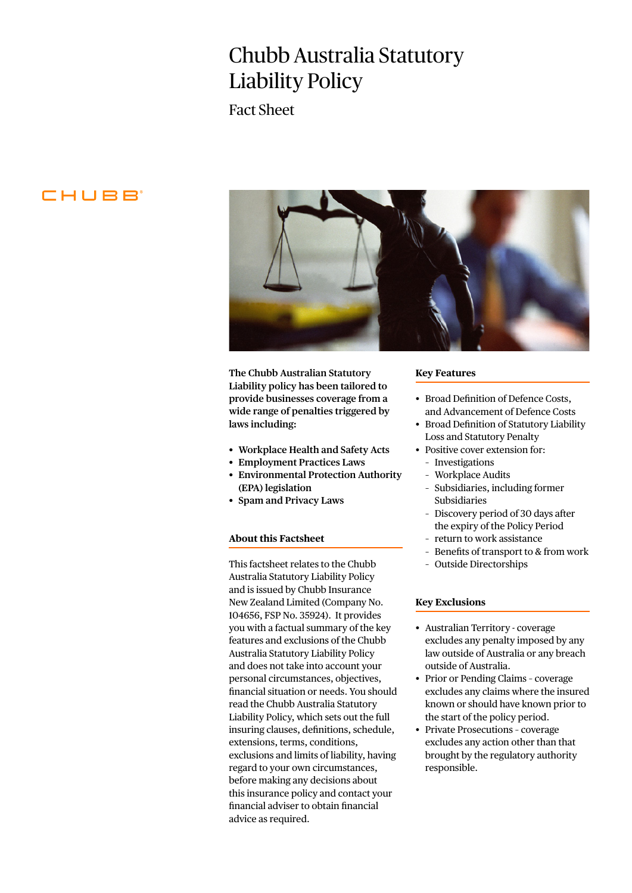# Chubb Australia Statutory Liability Policy

Fact Sheet

# CHUBB<sup>®</sup>



**The Chubb Australian Statutory Liability policy has been tailored to provide businesses coverage from a wide range of penalties triggered by laws including:** 

- **• Workplace Health and Safety Acts**
- **• Employment Practices Laws**
- **• Environmental Protection Authority**
- **(EPA) legislation**
- **• Spam and Privacy Laws**

## **About this Factsheet**

This factsheet relates to the Chubb Australia Statutory Liability Policy and is issued by Chubb Insurance New Zealand Limited (Company No. 104656, FSP No. 35924). It provides you with a factual summary of the key features and exclusions of the Chubb Australia Statutory Liability Policy and does not take into account your personal circumstances, objectives, financial situation or needs. You should read the Chubb Australia Statutory Liability Policy, which sets out the full insuring clauses, definitions, schedule, extensions, terms, conditions, exclusions and limits of liability, having regard to your own circumstances, before making any decisions about this insurance policy and contact your financial adviser to obtain financial advice as required.

#### **Key Features**

- Broad Definition of Defence Costs, and Advancement of Defence Costs
- Broad Definition of Statutory Liability Loss and Statutory Penalty
- Positive cover extension for:
	- Investigations
	- Workplace Audits
	- Subsidiaries, including former Subsidiaries
	- Discovery period of 30 days after the expiry of the Policy Period
	- return to work assistance
	- Benefits of transport to & from work
	- Outside Directorships

#### **Key Exclusions**

- Australian Territory coverage excludes any penalty imposed by any law outside of Australia or any breach outside of Australia.
- Prior or Pending Claims coverage excludes any claims where the insured known or should have known prior to the start of the policy period.
- Private Prosecutions coverage excludes any action other than that brought by the regulatory authority responsible.